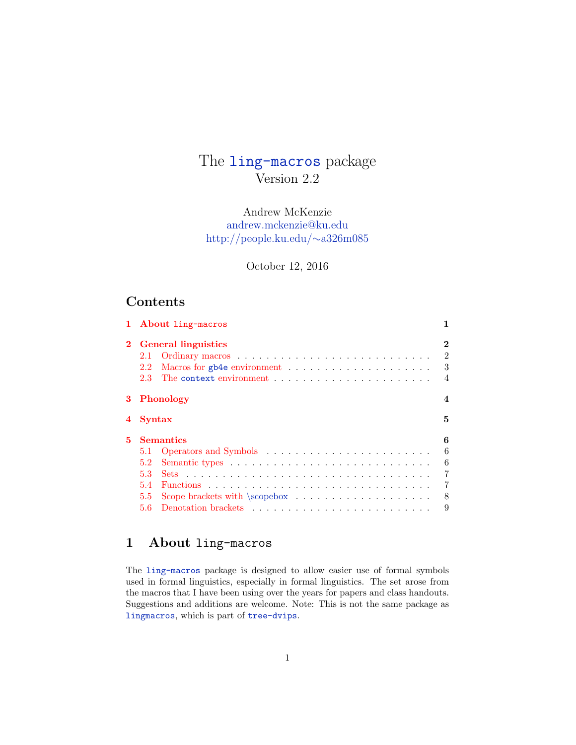# The ling-macros package Version 2.2

## Andrew McKenzie [andrew.mckenzie@ku.edu](mailto:andrew.mckenzie@ku.edu) [http://people.ku.edu/](http://people.ku.edu/~a326m085)∼a326m085

## October 12, 2016

# Contents

| 1 | About ling-macros                                       | 1                                                 |
|---|---------------------------------------------------------|---------------------------------------------------|
|   | <b>General linguistics</b><br>$2.1\,$<br>$2.2\,$<br>2.3 | $\bf{2}$<br>$\overline{2}$<br>3<br>$\overline{4}$ |
| 3 | Phonology                                               | 4                                                 |
| 4 | <b>Syntax</b>                                           | 5                                                 |
| 5 | <b>Semantics</b>                                        | 6                                                 |
|   | 5.1                                                     | 6                                                 |
|   | 5.2                                                     | 6                                                 |
|   | 5.3                                                     | $\overline{7}$                                    |
|   | $5.4^{\circ}$                                           | 7                                                 |
|   | $5.5^{\circ}$                                           | 8                                                 |
|   | 5.6                                                     | 9                                                 |

## <span id="page-0-0"></span>1 About ling-macros

The ling-macros package is designed to allow easier use of formal symbols used in formal linguistics, especially in formal linguistics. The set arose from the macros that I have been using over the years for papers and class handouts. Suggestions and additions are welcome. Note: This is not the same package as lingmacros, which is part of tree-dvips.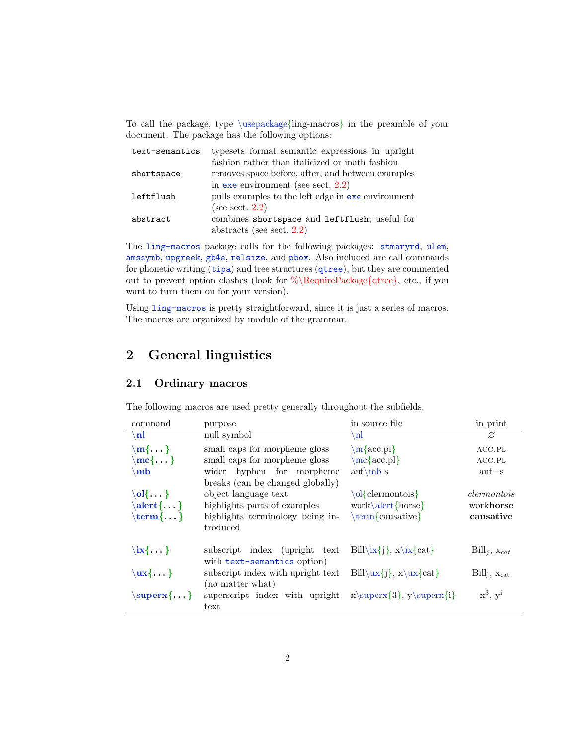To call the package, type \usepackage{ling-macros} in the preamble of your document. The package has the following options:

| text-semantics | typesets formal semantic expressions in upright    |
|----------------|----------------------------------------------------|
|                | fashion rather than italicized or math fashion     |
| shortspace     | removes space before, after, and between examples  |
|                | in $ex$ e environment (see sect. 2.2)              |
| leftflush      | pulls examples to the left edge in exe environment |
|                | (see sect. $2.2$ )                                 |
| abstract       | combines shortspace and leftflush; useful for      |
|                | abstracts (see sect. $2.2$ )                       |

The ling-macros package calls for the following packages: stmaryrd, ulem, amssymb, upgreek, gb4e, relsize, and pbox. Also included are call commands for phonetic writing (tipa) and tree structures (qtree), but they are commented out to prevent option clashes (look for  $\{\Re\,\$ equirePackage $\{\text{atree}\}\$ , etc., if you want to turn them on for your version).

Using ling-macros is pretty straightforward, since it is just a series of macros. The macros are organized by module of the grammar.

# <span id="page-1-0"></span>2 General linguistics

## <span id="page-1-1"></span>2.1 Ordinary macros

The following macros are used pretty generally throughout the subfields.

| command                    | purpose                                                       | in source file                 | in print                                  |
|----------------------------|---------------------------------------------------------------|--------------------------------|-------------------------------------------|
| n!                         | null symbol                                                   | nl                             | Ø                                         |
| $\mathbf{m}\{\dots\}$      | small caps for morpheme gloss                                 | $\m{acc.pl}$                   | ACC.PL                                    |
| $\mathbf{mc} \{\dots\}$    | small caps for morpheme gloss                                 | $\{acc.pl\}$                   | ACC.PL                                    |
| $\mathbf{m}$               | wider hyphen for morpheme                                     | $ant\mb{\mod} s$               | $ant-s$                                   |
|                            | breaks (can be changed globally)                              |                                |                                           |
| $\setminus$ ol $\{\dots\}$ | object language text                                          | $\o$ <sup>{</sup> clermontois} | $\mathit{clermontois}$                    |
| $\text{alert}\{\dots\}$    | highlights parts of examples                                  | $work\lambda$ {horse}          | workhorse                                 |
| \term{}                    | highlights terminology being in-<br>troduced                  | $\term$ {causative}            | causative                                 |
| $\{i:\}\$                  | subscript index (upright text)<br>with text-semantics option) | $\text{Bill}\{i\}, x\{ix\}$    | $\text{Bill}_i$ , $\mathbf{x}_{cat}$      |
| $\setminus$ ux $\{\dots\}$ | subscript index with upright text                             | $\text{Bill}\{ux\}; x\{ux\}$   | $\text{Bill}_i$ , $\text{x}_{\text{cat}}$ |
| $\super x\{\dots\}$        | (no matter what)<br>superscript index with upright<br>text    | $x\sup\{3\}, y\sup\{i\}$       | $x^3$ , $y^i$                             |
|                            |                                                               |                                |                                           |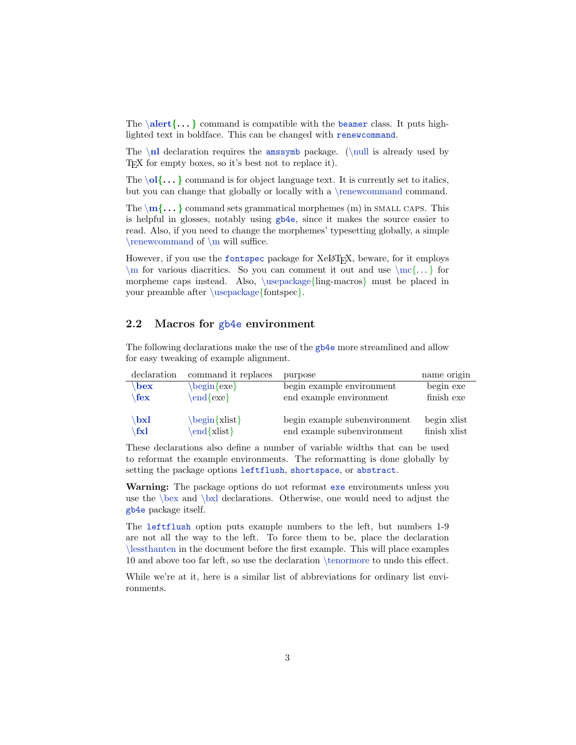The  $\left\{\ldots\right\}$  command is compatible with the beamer class. It puts highlighted text in boldface. This can be changed with renewcommand.

The  $\n|$  declaration requires the amssymb package.  $(\n|$  is already used by TEX for empty boxes, so it's best not to replace it).

The  $\{ol{...}\}$  command is for object language text. It is currently set to italics, but you can change that globally or locally with a \renewcommand command.

The  $\{m\}$ ... } command sets grammatical morphemes (m) in SMALL CAPS. This is helpful in glosses, notably using gb4e, since it makes the source easier to read. Also, if you need to change the morphemes' typesetting globally, a simple  $\rm w$ command of  $\rm w$  will suffice.

However, if you use the fontspec package for XeL<sup>AT</sup>F<sub>X</sub>, beware, for it employs  $\mathbb{R}^n$  for various diacritics. So you can comment it out and use  $\mathbb{R}^n$ .  $\}$  for morpheme caps instead. Also, \usepackage{ling-macros} must be placed in your preamble after \usepackage{fontspec}.

### <span id="page-2-0"></span>2.2 Macros for gb4e environment

The following declarations make the use of the gb4e more streamlined and allow for easy tweaking of example alignment.

| declaration     | command it replaces                                                                                          | purpose                      | name origin  |
|-----------------|--------------------------------------------------------------------------------------------------------------|------------------------------|--------------|
| $\mathbf{b}$ ex | $\begin{cases} \text{begin} \text{f} \\ \text{e} \end{cases} \begin{cases} \text{f} \\ \text{f} \end{cases}$ | begin example environment    | begin exe    |
| \fex            | $\end{}$ end $\}$                                                                                            | end example environment      | finish exe   |
|                 |                                                                                                              |                              |              |
| $\mathbf{b}$ xl | $\begin{cases} \text{begin} x \text{list} \end{cases}$                                                       | begin example subenvironment | begin xlist  |
| $\mathbf{f}$ xl | $\end{substack}$                                                                                             | end example subenvironment   | finish xlist |

These declarations also define a number of variable widths that can be used to reformat the example environments. The reformatting is done globally by setting the package options leftflush, shortspace, or abstract.

Warning: The package options do not reformat exe environments unless you use the  $\bar{\text{b}}$  and  $\bar{\text{b}}$  declarations. Otherwise, one would need to adjust the gb4e package itself.

The leftflush option puts example numbers to the left, but numbers 1-9 are not all the way to the left. To force them to be, place the declaration \lessthanten in the document before the first example. This will place examples 10 and above too far left, so use the declaration \tenormore to undo this effect.

While we're at it, here is a similar list of abbreviations for ordinary list environments.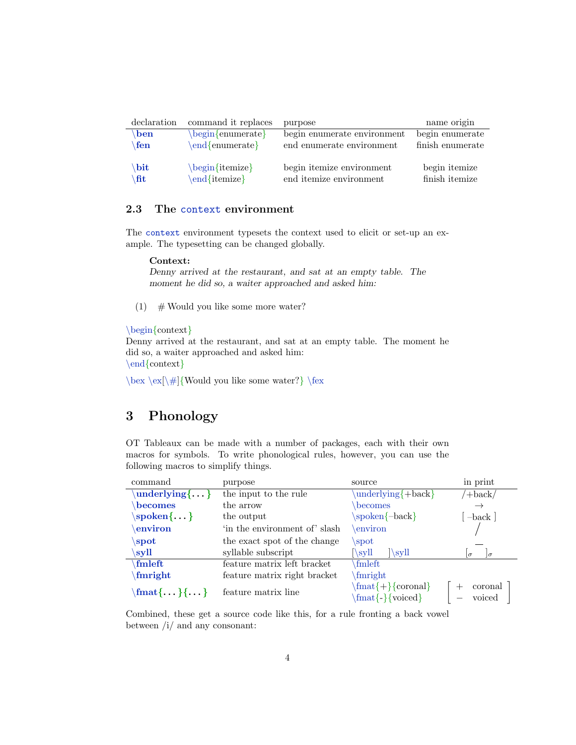| declaration          | command it replaces                    | purpose                                              | name origin                     |
|----------------------|----------------------------------------|------------------------------------------------------|---------------------------------|
| ben                  | $\begin{bmatrix}$ begin $\{$ enumerate | begin enumerate environment                          | begin enumerate                 |
| fen                  | end{enumerate}                         | end enumerate environment                            | finish enumerate                |
| \bit<br>$\sqrt{fit}$ | \begin{itemize}<br>end{itemize}        | begin itemize environment<br>end itemize environment | begin itemize<br>finish itemize |

## <span id="page-3-0"></span>2.3 The context environment

The context environment typesets the context used to elicit or set-up an example. The typesetting can be changed globally.

#### Context:

Denny arrived at the restaurant, and sat at an empty table. The moment he did so, a waiter approached and asked him:

(1)  $\#$  Would you like some more water?

#### \begin{context}

Denny arrived at the restaurant, and sat at an empty table. The moment he did so, a waiter approached and asked him: \end{context}

 $\text{ex}[\#]{\text{Would you like some water?} \fex}$ 

# <span id="page-3-1"></span>3 Phonology

OT Tableaux can be made with a number of packages, each with their own macros for symbols. To write phonological rules, however, you can use the following macros to simplify things.

| command                  | purpose                       | source                                                  | in print             |
|--------------------------|-------------------------------|---------------------------------------------------------|----------------------|
| underlying $\{ \dots \}$ | the input to the rule         | underlying $\{\text{+back}\}$                           | $+$ back $/$         |
| becomes                  | the arrow                     | becomes                                                 | $\rightarrow$        |
| $\text{spoken}\{\dots\}$ | the output                    | $\text{spoken}\{-\text{back}\}$                         | $-\text{back}$       |
| environ                  | 'in the environment of' slash | environ                                                 |                      |
| spot                     | the exact spot of the change  | spot                                                    |                      |
| syll                     | syllable subscript            | $\sqrt{\mathrm{syl}}$<br>$ \sqrt{s}$ yll                | $\sigma$<br>$\sigma$ |
| fmleft                   | feature matrix left bracket   | fmleft                                                  |                      |
| fmright                  | feature matrix right bracket  | fmright                                                 |                      |
| $\{mat\}$ } $\{\ldots\}$ | feature matrix line           | $\mathsf{fmat}$ {coronal}<br>$\mathbf{mat}$ {-}{voiced} | coronal<br>voiced    |

Combined, these get a source code like this, for a rule fronting a back vowel between  $/i/$  and any consonant: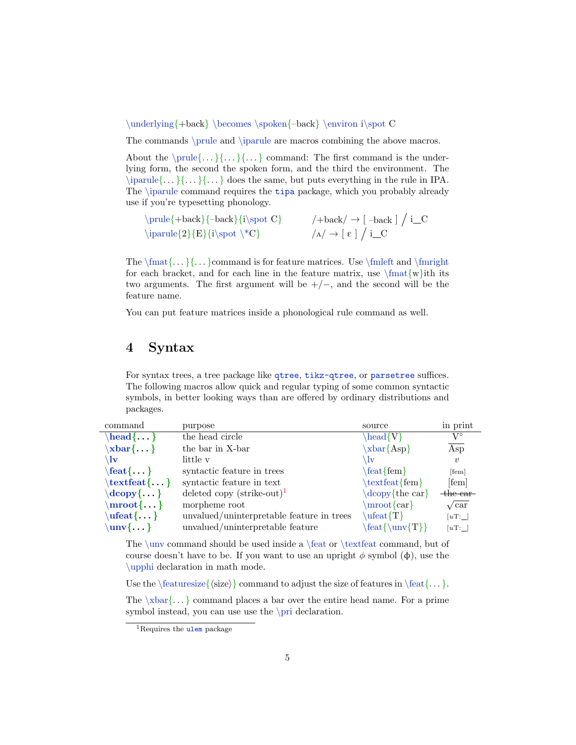\underlying{+back} \becomes \spoken{-back} \environ i\spot C

The commands \prule and \iparule are macros combining the above macros.

About the  $\prule{\ldots}{\ldots}$  command: The first command is the underlying form, the second the spoken form, and the third the environment. The  $\{... \}, ... \}$  does the same, but puts everything in the rule in IPA. The \iparule command requires the tipa package, which you probably already use if you're typesetting phonology.

| $\prule{\text{-back}}{\text{-back}}$ i\spot C} | /+back/ $\rightarrow$ [ -back ] / i_C         |
|------------------------------------------------|-----------------------------------------------|
| $\partial\{\epsilon\}\{E\}\{i\$ > $\^*C\}$     | $/\Lambda/\rightarrow$ [ $\epsilon$ ] $/$ i_C |

The  $\mathcal{$ ... $\}$ command is for feature matrices. Use  $\mathcal{S}$  and  $\mathcal{S}$ for each bracket, and for each line in the feature matrix, use  $\mathcal{w}$ ith its two arguments. The first argument will be  $+/-$ , and the second will be the feature name.

You can put feature matrices inside a phonological rule command as well.

## <span id="page-4-0"></span>4 Syntax

For syntax trees, a tree package like qtree, tikz-qtree, or parsetree suffices. The following macros allow quick and regular typing of some common syntactic symbols, in better looking ways than are offered by ordinary distributions and packages.

| command                              | purpose                                   | source                       | in print            |
|--------------------------------------|-------------------------------------------|------------------------------|---------------------|
| $\head\{\}$                          | the head circle                           | $\text{head}\{V\}$           | V٥                  |
| $\xbar{}$                            | the bar in X-bar                          | $\xbar{Asp}$                 | $\overline{Asp}$    |
| 1v                                   | little v                                  | ∖lv                          | $\boldsymbol{v}$    |
| $\{$ reat $\{ \dots \}$              | syntactic feature in trees                | $\text{feat}\$ fem           | [fem]               |
| $\setminus \text{textfeat}\{\dots\}$ | syntactic feature in text                 | $\text{textfeat}\$           | [fem]               |
| $\text{dcopy}\{\dots\}$              | deleted copy $(\text{strike-out})^1$      | $\text{dcopy}$ {the car}     | $-$ the car-        |
| $\mathbf{mroot} \{ \dots \}$         | morpheme root                             | $\text{mroot}\{\text{car}\}$ | $\sqrt{\text{car}}$ |
| $\text{ufeat}\{\dots\}$              | unvalued/uninterpretable feature in trees | $\text{ufeat}$ $\text{T}$    | $[uT:-]$            |
| $\text{unv}\{\ldots\}$               | unvalued/uninterpretable feature          | $\text{\{unv{T}}\}$          | $[uT:-]$            |

The  $\u$ nv command should be used inside a  $\feat$  or  $\text{feat}$  command, but of course doesn't have to be. If you want to use an upright  $\phi$  symbol  $(\phi)$ , use the \upphi declaration in math mode.

Use the  $\text{featuresize}\{\text{size}\}\$ command to adjust the size of features in  $\text{feat}\{\dots\}$ .

The  $\xrightarrow{k \alpha}$  command places a bar over the entire head name. For a prime symbol instead, you can use use the \pri declaration.

<span id="page-4-1"></span><sup>&</sup>lt;sup>1</sup>Requires the  $ul$ em package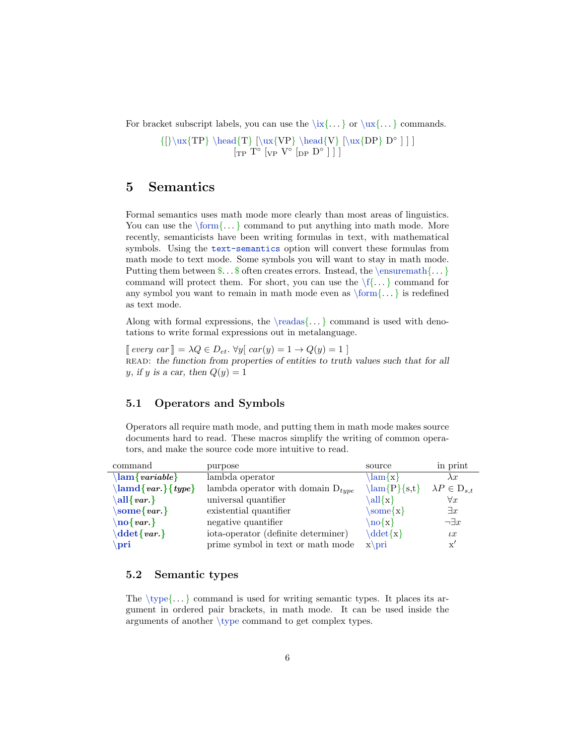For bracket subscript labels, you can use the  $\iota x\{\ldots\}$  or  $\iota u x\{\ldots\}$  commands.

 ${\{\}\u x {\} T\} \headarrow {\} \quad {\} \w {\} \quad {\} \w {\} D<sup>o</sup> \}$  $\left[\begin{smallmatrix}\mathsf{T}^\mathsf{o} & \mathsf{T}^\mathsf{o} & \mathsf{V}^\mathsf{o} & \mathsf{V}^\mathsf{o} & \mathsf{P}^\mathsf{o} & \mathsf{P}^\mathsf{o} \end{smallmatrix}\right]\left.\begin{smallmatrix}\mathsf{T}^\mathsf{o} & \mathsf{V}^\mathsf{o} & \mathsf{V}^\mathsf{o} & \mathsf{V}^\mathsf{o} & \mathsf{V}^\mathsf{o} & \mathsf{V}^\mathsf{o} \end{smallmatrix}\right]$ 

## <span id="page-5-0"></span>5 Semantics

Formal semantics uses math mode more clearly than most areas of linguistics. You can use the  $\form{\ldots\}$  command to put anything into math mode. More recently, semanticists have been writing formulas in text, with mathematical symbols. Using the text-semantics option will convert these formulas from math mode to text mode. Some symbols you will want to stay in math mode. Putting them between  $\ldots$  often creates errors. Instead, the \ensuremath{...} command will protect them. For short, you can use the  $\{f\}$ ... } command for any symbol you want to remain in math mode even as  $\form{\dots}$  is redefined as text mode.

Along with formal expressions, the  $\readas$ ... } command is used with denotations to write formal expressions out in metalanguage.

 $[every \ car] = \lambda Q \in D_{et}. \ \forall y[ \ car(y) = 1 \rightarrow Q(y) = 1 ]$ read: the function from properties of entities to truth values such that for all y, if y is a car, then  $Q(y) = 1$ 

## <span id="page-5-1"></span>5.1 Operators and Symbols

Operators all require math mode, and putting them in math mode makes source documents hard to read. These macros simplify the writing of common operators, and make the source code more intuitive to read.

| command                                    | purpose                                | source                | in print                |
|--------------------------------------------|----------------------------------------|-----------------------|-------------------------|
| $\{\text{lam}\}$ variable                  | lambda operator                        | $\lambda$ lam $\{x\}$ | $\lambda x$             |
| $\lambda$ lamd $\{ var.\}$ { <i>type</i> } | lambda operator with domain $D_{type}$ | $\lambda$ {P}{s,t}    | $\lambda P \in D_{s,t}$ |
| all $\{ var.\}$                            | universal quantifier                   | $\alpha$ ll $\{x\}$   | $\forall x$             |
| some $\{ var.\}$                           | existential quantifier                 | $\text{some}\{x\}$    | $\exists x$             |
| $\{no\}$ $\{var.\}$                        | negative quantifier                    | $\ln\{x\}$            | $\neg \exists x$        |
| $\det\{var.\}$                             | iota-operator (definite determiner)    | $\det\{x\}$           | $\iota x$               |
| pri                                        | prime symbol in text or math mode      | $x\vert\$             | $\mathbf{x}'$           |

### <span id="page-5-2"></span>5.2 Semantic types

The  $\type\{\ldots\}$  command is used for writing semantic types. It places its argument in ordered pair brackets, in math mode. It can be used inside the arguments of another \type command to get complex types.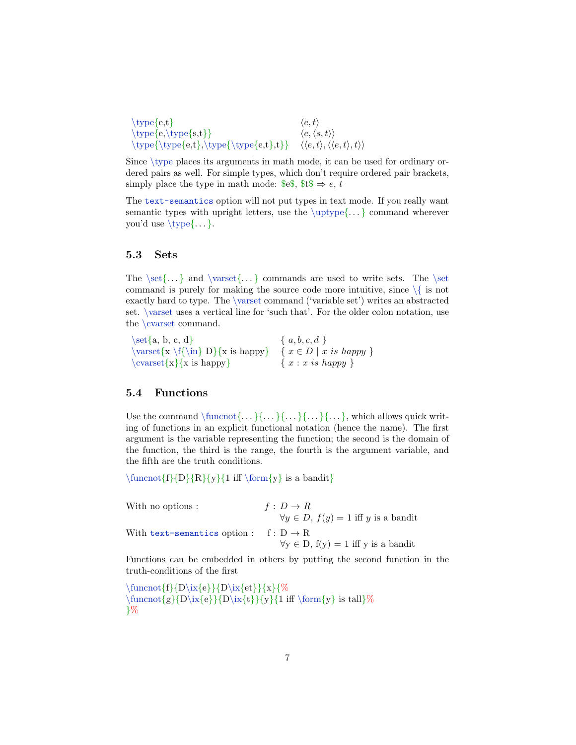| $\type\{e,t\}$                             | $\langle e, t \rangle$                                                          |
|--------------------------------------------|---------------------------------------------------------------------------------|
| $\type{e,\type{s,t}}\$                     | $\langle e, \langle s, t \rangle \rangle$                                       |
| $\type{\type{e,t\},\type{\type{e,t\},t\}}$ | $\langle \langle e, t \rangle, \langle \langle e, t \rangle, t \rangle \rangle$ |

Since \type places its arguments in math mode, it can be used for ordinary ordered pairs as well. For simple types, which don't require ordered pair brackets, simply place the type in math mode:  $\text{\$e\$}, \text{\$t\$} \Rightarrow e, t$ 

The text-semantics option will not put types in text mode. If you really want semantic types with upright letters, use the  $\u{t}$ ,  $\mathrm{command}$  wherever you'd use  $\type\{\ldots\}$ .

### <span id="page-6-0"></span>5.3 Sets

The \set{. . . } and \varset{. . . } commands are used to write sets. The \set command is purely for making the source code more intuitive, since  $\setminus \{$  is not exactly hard to type. The \varset command ('variable set') writes an abstracted set. \varset uses a vertical line for 'such that'. For the older colon notation, use the \cvarset command.

| $\setminus$ set $\{a, b, c, d\}$                  | $\{a,b,c,d\}$                          |
|---------------------------------------------------|----------------------------------------|
| $\varepsilon\{x \if\{\infty\} D\}\{x \is happy\}$ | $\{x \in D \mid x \text{ is happy }\}$ |
| $\text{x}{x}$ is happy                            | $\{x : x \text{ is happy }\}$          |

## <span id="page-6-1"></span>5.4 Functions

Use the command  $\mathrm{L.\}$   $\{... \}$ ...  $\{... \}$ ... }, which allows quick writing of functions in an explicit functional notation (hence the name). The first argument is the variable representing the function; the second is the domain of the function, the third is the range, the fourth is the argument variable, and the fifth are the truth conditions.

 $\times$   $\{\frac{f}{D}{R}{y}{1 iff \form{y} is a bandit}$ 

| With no options :                         | $f: D \to R$                                     |
|-------------------------------------------|--------------------------------------------------|
|                                           | $\forall y \in D, f(y) = 1$ iff y is a bandit    |
| With text-semantics option : $f: D \to R$ |                                                  |
|                                           | $\forall y \in D$ , $f(y) = 1$ iff y is a bandit |
|                                           |                                                  |

Functions can be embedded in others by putting the second function in the truth-conditions of the first

 $\times$  \funcnot{f}{D\ix{e}}{D\ix{et}}{x}{%  $\binom{g}{D\ix{e}}{D\ix{t}}{y}{1 iff \form{y} is tall}$ }%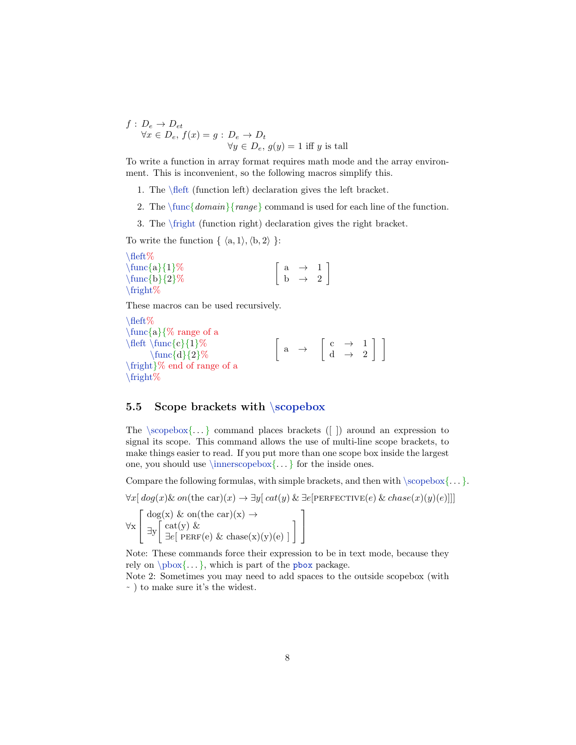$$
f: D_e \to D_{et}
$$
  
\n
$$
\forall x \in D_e, f(x) = g: D_e \to D_t
$$
  
\n
$$
\forall y \in D_e, g(y) = 1 \text{ iff } y \text{ is tall}
$$

To write a function in array format requires math mode and the array environment. This is inconvenient, so the following macros simplify this.

- 1. The \fleft (function left) declaration gives the left bracket.
- 2. The  $\frac{\{domain\}}{\{range\}}$  command is used for each line of the function.
- 3. The \fright (function right) declaration gives the right bracket.

To write the function  $\{ \langle a, 1 \rangle, \langle b, 2 \rangle \}$ :

| $\leftarrow$ fleft %    |                                                                                          |
|-------------------------|------------------------------------------------------------------------------------------|
| $\times$ {a}{1}\%       | $\left[\begin{array}{ccc} a & \rightarrow & 1 \\ b & \rightarrow & 2 \end{array}\right]$ |
| $\times$ {\func{b}{2}\% |                                                                                          |
| \fright\%               |                                                                                          |

These macros can be used recursively.

\fleft%  $\times$ {a}{% range of a  $\left\{\frac{c}{1}\% \right\}$  $\times$ {d}{2}\% \fright}% end of range of a \fright%  $a \rightarrow \begin{array}{c} c \rightarrow 1 \\ 1 \end{array}$  $d \rightarrow 2$ 11

#### <span id="page-7-0"></span>5.5 Scope brackets with \scopebox

The  $\sc$ copebox $\{\ldots\}$  command places brackets ([ ]) around an expression to signal its scope. This command allows the use of multi-line scope brackets, to make things easier to read. If you put more than one scope box inside the largest one, you should use  $\infty$ ... for the inside ones.

Compare the following formulas, with simple brackets, and then with  $\simeq$ ...}.

 $\forall x[dog(x) \& on(\text{the car})(x) \rightarrow \exists y[cat(y) \& \exists e[\text{PERFECTIVE}(e) \& \text{chase}(x)(y)(e)]]]$ 

$$
\forall x \left[ \begin{array}{l} \deg(x) \& \text{ on}(the car)(x) \rightarrow \\ \exists y \left[ \begin{array}{l} cat(y) \& \\ \exists e[ \text{ PERF}(e) \& \text{chase}(x)(y)(e)] \end{array} \right] \end{array} \right]
$$

Note: These commands force their expression to be in text mode, because they rely on  $\text{box} \ldots$ , which is part of the pbox package.

Note 2: Sometimes you may need to add spaces to the outside scopebox (with  $\sim$  ) to make sure it's the widest.